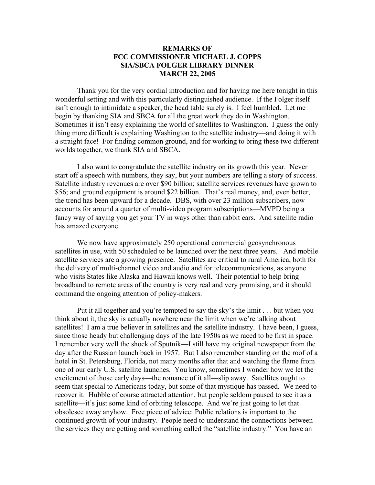## **REMARKS OF FCC COMMISSIONER MICHAEL J. COPPS SIA/SBCA FOLGER LIBRARY DINNER MARCH 22, 2005**

 Thank you for the very cordial introduction and for having me here tonight in this wonderful setting and with this particularly distinguished audience. If the Folger itself isn't enough to intimidate a speaker, the head table surely is. I feel humbled. Let me begin by thanking SIA and SBCA for all the great work they do in Washington. Sometimes it isn't easy explaining the world of satellites to Washington. I guess the only thing more difficult is explaining Washington to the satellite industry—and doing it with a straight face! For finding common ground, and for working to bring these two different worlds together, we thank SIA and SBCA.

 I also want to congratulate the satellite industry on its growth this year. Never start off a speech with numbers, they say, but your numbers are telling a story of success. Satellite industry revenues are over \$90 billion; satellite services revenues have grown to \$56; and ground equipment is around \$22 billion. That's real money, and, even better, the trend has been upward for a decade. DBS, with over 23 million subscribers, now accounts for around a quarter of multi-video program subscriptions—MVPD being a fancy way of saying you get your TV in ways other than rabbit ears. And satellite radio has amazed everyone.

We now have approximately 250 operational commercial geosynchronous satellites in use, with 50 scheduled to be launched over the next three years. And mobile satellite services are a growing presence. Satellites are critical to rural America, both for the delivery of multi-channel video and audio and for telecommunications, as anyone who visits States like Alaska and Hawaii knows well. Their potential to help bring broadband to remote areas of the country is very real and very promising, and it should command the ongoing attention of policy-makers.

 Put it all together and you're tempted to say the sky's the limit . . . but when you think about it, the sky is actually nowhere near the limit when we're talking about satellites! I am a true believer in satellites and the satellite industry. I have been, I guess, since those heady but challenging days of the late 1950s as we raced to be first in space. I remember very well the shock of Sputnik—I still have my original newspaper from the day after the Russian launch back in 1957. But I also remember standing on the roof of a hotel in St. Petersburg, Florida, not many months after that and watching the flame from one of our early U.S. satellite launches. You know, sometimes I wonder how we let the excitement of those early days—the romance of it all—slip away. Satellites ought to seem that special to Americans today, but some of that mystique has passed. We need to recover it. Hubble of course attracted attention, but people seldom paused to see it as a satellite—it's just some kind of orbiting telescope. And we're just going to let that obsolesce away anyhow. Free piece of advice: Public relations is important to the continued growth of your industry. People need to understand the connections between the services they are getting and something called the "satellite industry." You have an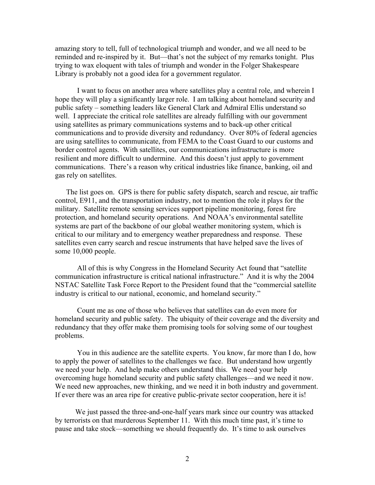amazing story to tell, full of technological triumph and wonder, and we all need to be reminded and re-inspired by it. But—that's not the subject of my remarks tonight. Plus trying to wax eloquent with tales of triumph and wonder in the Folger Shakespeare Library is probably not a good idea for a government regulator.

 I want to focus on another area where satellites play a central role, and wherein I hope they will play a significantly larger role. I am talking about homeland security and public safety – something leaders like General Clark and Admiral Ellis understand so well. I appreciate the critical role satellites are already fulfilling with our government using satellites as primary communications systems and to back-up other critical communications and to provide diversity and redundancy. Over 80% of federal agencies are using satellites to communicate, from FEMA to the Coast Guard to our customs and border control agents. With satellites, our communications infrastructure is more resilient and more difficult to undermine. And this doesn't just apply to government communications. There's a reason why critical industries like finance, banking, oil and gas rely on satellites.

The list goes on. GPS is there for public safety dispatch, search and rescue, air traffic control, E911, and the transportation industry, not to mention the role it plays for the military. Satellite remote sensing services support pipeline monitoring, forest fire protection, and homeland security operations. And NOAA's environmental satellite systems are part of the backbone of our global weather monitoring system, which is critical to our military and to emergency weather preparedness and response. These satellites even carry search and rescue instruments that have helped save the lives of some 10,000 people.

 All of this is why Congress in the Homeland Security Act found that "satellite communication infrastructure is critical national infrastructure." And it is why the 2004 NSTAC Satellite Task Force Report to the President found that the "commercial satellite industry is critical to our national, economic, and homeland security."

 Count me as one of those who believes that satellites can do even more for homeland security and public safety. The ubiquity of their coverage and the diversity and redundancy that they offer make them promising tools for solving some of our toughest problems.

 You in this audience are the satellite experts. You know, far more than I do, how to apply the power of satellites to the challenges we face. But understand how urgently we need your help. And help make others understand this. We need your help overcoming huge homeland security and public safety challenges—and we need it now. We need new approaches, new thinking, and we need it in both industry and government. If ever there was an area ripe for creative public-private sector cooperation, here it is!

 We just passed the three-and-one-half years mark since our country was attacked by terrorists on that murderous September 11. With this much time past, it's time to pause and take stock—something we should frequently do. It's time to ask ourselves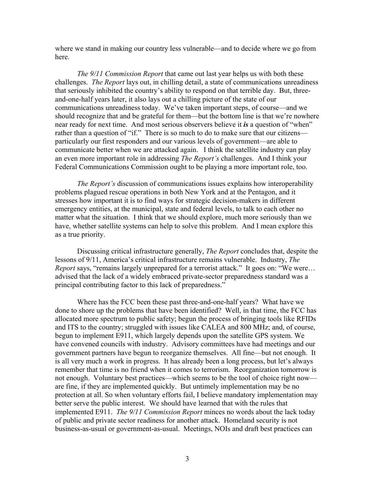where we stand in making our country less vulnerable—and to decide where we go from here.

 *The 9/11 Commission Report* that came out last year helps us with both these challenges. *The Report* lays out, in chilling detail, a state of communications unreadiness that seriously inhibited the country's ability to respond on that terrible day. But, threeand-one-half years later, it also lays out a chilling picture of the state of our communications unreadiness today. We've taken important steps, of course—and we should recognize that and be grateful for them—but the bottom line is that we're nowhere near ready for next time. And most serious observers believe it *is* a question of "when" rather than a question of "if." There is so much to do to make sure that our citizens particularly our first responders and our various levels of government—are able to communicate better when we are attacked again. I think the satellite industry can play an even more important role in addressing *The Report's* challenges. And I think your Federal Communications Commission ought to be playing a more important role, too.

 *The Report's* discussion of communications issues explains how interoperability problems plagued rescue operations in both New York and at the Pentagon, and it stresses how important it is to find ways for strategic decision-makers in different emergency entities, at the municipal, state and federal levels, to talk to each other no matter what the situation. I think that we should explore, much more seriously than we have, whether satellite systems can help to solve this problem. And I mean explore this as a true priority.

 Discussing critical infrastructure generally, *The Report* concludes that, despite the lessons of 9/11, America's critical infrastructure remains vulnerable. Industry, *The Report* says, "remains largely unprepared for a terrorist attack." It goes on: "We were… advised that the lack of a widely embraced private-sector preparedness standard was a principal contributing factor to this lack of preparedness."

Where has the FCC been these past three-and-one-half years? What have we done to shore up the problems that have been identified? Well, in that time, the FCC has allocated more spectrum to public safety; begun the process of bringing tools like RFIDs and ITS to the country; struggled with issues like CALEA and 800 MHz; and, of course, begun to implement E911, which largely depends upon the satellite GPS system. We have convened councils with industry. Advisory committees have had meetings and our government partners have begun to reorganize themselves. All fine—but not enough. It is all very much a work in progress. It has already been a long process, but let's always remember that time is no friend when it comes to terrorism. Reorganization tomorrow is not enough. Voluntary best practices—which seems to be the tool of choice right now are fine, if they are implemented quickly. But untimely implementation may be no protection at all. So when voluntary efforts fail, I believe mandatory implementation may better serve the public interest. We should have learned that with the rules that implemented E911. *The 9/11 Commission Report* minces no words about the lack today of public and private sector readiness for another attack. Homeland security is not business-as-usual or government-as-usual. Meetings, NOIs and draft best practices can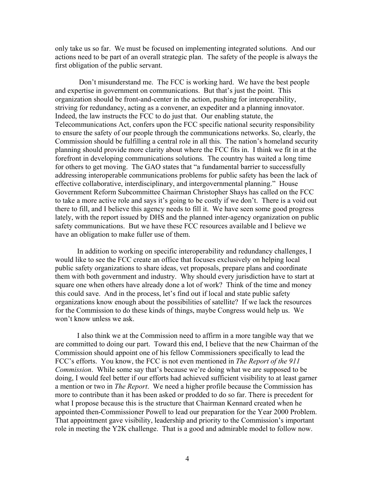only take us so far. We must be focused on implementing integrated solutions. And our actions need to be part of an overall strategic plan. The safety of the people is always the first obligation of the public servant.

 Don't misunderstand me. The FCC is working hard. We have the best people and expertise in government on communications. But that's just the point. This organization should be front-and-center in the action, pushing for interoperability, striving for redundancy, acting as a convener, an expediter and a planning innovator. Indeed, the law instructs the FCC to do just that. Our enabling statute, the Telecommunications Act, confers upon the FCC specific national security responsibility to ensure the safety of our people through the communications networks. So, clearly, the Commission should be fulfilling a central role in all this. The nation's homeland security planning should provide more clarity about where the FCC fits in. I think we fit in at the forefront in developing communications solutions. The country has waited a long time for others to get moving. The GAO states that "a fundamental barrier to successfully addressing interoperable communications problems for public safety has been the lack of effective collaborative, interdisciplinary, and intergovernmental planning." House Government Reform Subcommittee Chairman Christopher Shays has called on the FCC to take a more active role and says it's going to be costly if we don't. There is a void out there to fill, and I believe this agency needs to fill it. We have seen some good progress lately, with the report issued by DHS and the planned inter-agency organization on public safety communications. But we have these FCC resources available and I believe we have an obligation to make fuller use of them.

In addition to working on specific interoperability and redundancy challenges, I would like to see the FCC create an office that focuses exclusively on helping local public safety organizations to share ideas, vet proposals, prepare plans and coordinate them with both government and industry. Why should every jurisdiction have to start at square one when others have already done a lot of work? Think of the time and money this could save. And in the process, let's find out if local and state public safety organizations know enough about the possibilities of satellite? If we lack the resources for the Commission to do these kinds of things, maybe Congress would help us. We won't know unless we ask.

I also think we at the Commission need to affirm in a more tangible way that we are committed to doing our part. Toward this end, I believe that the new Chairman of the Commission should appoint one of his fellow Commissioners specifically to lead the FCC's efforts. You know, the FCC is not even mentioned in *The Report of the 911 Commission*. While some say that's because we're doing what we are supposed to be doing, I would feel better if our efforts had achieved sufficient visibility to at least garner a mention or two in *The Report*. We need a higher profile because the Commission has more to contribute than it has been asked or prodded to do so far. There is precedent for what I propose because this is the structure that Chairman Kennard created when he appointed then-Commissioner Powell to lead our preparation for the Year 2000 Problem. That appointment gave visibility, leadership and priority to the Commission's important role in meeting the Y2K challenge. That is a good and admirable model to follow now.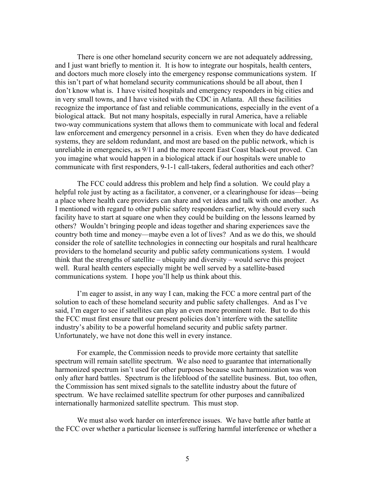There is one other homeland security concern we are not adequately addressing, and I just want briefly to mention it. It is how to integrate our hospitals, health centers, and doctors much more closely into the emergency response communications system. If this isn't part of what homeland security communications should be all about, then I don't know what is. I have visited hospitals and emergency responders in big cities and in very small towns, and I have visited with the CDC in Atlanta. All these facilities recognize the importance of fast and reliable communications, especially in the event of a biological attack. But not many hospitals, especially in rural America, have a reliable two-way communications system that allows them to communicate with local and federal law enforcement and emergency personnel in a crisis. Even when they do have dedicated systems, they are seldom redundant, and most are based on the public network, which is unreliable in emergencies, as 9/11 and the more recent East Coast black-out proved. Can you imagine what would happen in a biological attack if our hospitals were unable to communicate with first responders, 9-1-1 call-takers, federal authorities and each other?

The FCC could address this problem and help find a solution. We could play a helpful role just by acting as a facilitator, a convener, or a clearinghouse for ideas—being a place where health care providers can share and vet ideas and talk with one another. As I mentioned with regard to other public safety responders earlier, why should every such facility have to start at square one when they could be building on the lessons learned by others? Wouldn't bringing people and ideas together and sharing experiences save the country both time and money—maybe even a lot of lives? And as we do this, we should consider the role of satellite technologies in connecting our hospitals and rural healthcare providers to the homeland security and public safety communications system. I would think that the strengths of satellite – ubiquity and diversity – would serve this project well. Rural health centers especially might be well served by a satellite-based communications system. I hope you'll help us think about this.

I'm eager to assist, in any way I can, making the FCC a more central part of the solution to each of these homeland security and public safety challenges. And as I've said, I'm eager to see if satellites can play an even more prominent role. But to do this the FCC must first ensure that our present policies don't interfere with the satellite industry's ability to be a powerful homeland security and public safety partner. Unfortunately, we have not done this well in every instance.

For example, the Commission needs to provide more certainty that satellite spectrum will remain satellite spectrum. We also need to guarantee that internationally harmonized spectrum isn't used for other purposes because such harmonization was won only after hard battles. Spectrum is the lifeblood of the satellite business. But, too often, the Commission has sent mixed signals to the satellite industry about the future of spectrum. We have reclaimed satellite spectrum for other purposes and cannibalized internationally harmonized satellite spectrum. This must stop.

We must also work harder on interference issues. We have battle after battle at the FCC over whether a particular licensee is suffering harmful interference or whether a